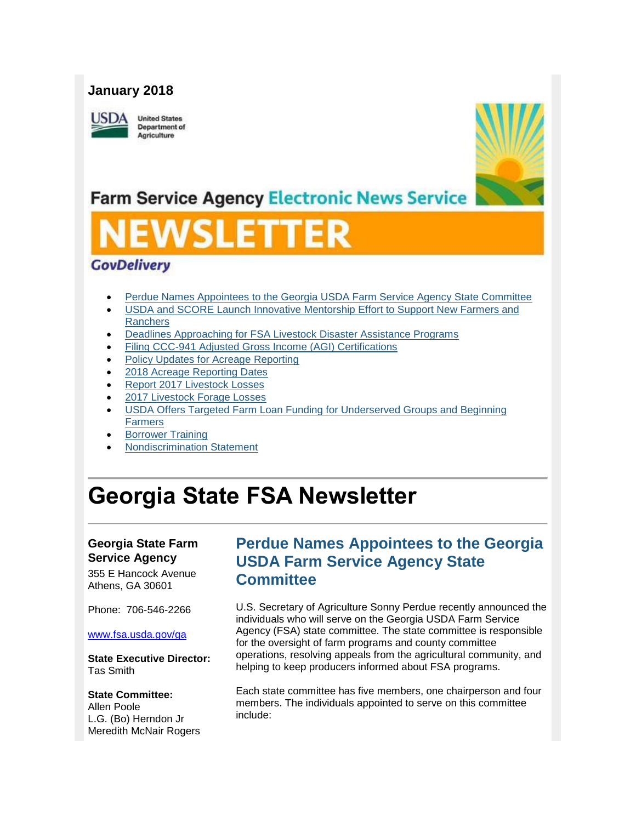## **January 2018**

**ISDA** 

**United States** Department of Agriculture



## **Farm Service Agency Electronic News Service**

# SLET

## **GovDelivery**

- [Perdue Names Appointees to the Georgia USDA Farm Service Agency State Committee](#page-0-0)
- [USDA and SCORE Launch Innovative Mentorship Effort to Support New Farmers and](#page-1-0)  **[Ranchers](#page-1-0)**
- [Deadlines Approaching for FSA Livestock Disaster Assistance Programs](#page-1-1)
- [Filing CCC-941 Adjusted Gross Income \(AGI\) Certifications](#page-2-0)
- [Policy Updates for Acreage Reporting](#page-2-1)
- [2018 Acreage Reporting Dates](#page-4-0)
- [Report 2017 Livestock Losses](#page-5-0)
- [2017 Livestock Forage Losses](#page-6-0)
- [USDA Offers Targeted Farm Loan Funding for Underserved Groups and Beginning](#page-6-1)  [Farmers](#page-6-1)
- [Borrower Training](#page-7-0)
- [Nondiscrimination Statement](#page-7-1)

## **Georgia State FSA Newsletter**

### **Georgia State Farm Service Agency**

355 E Hancock Avenue Athens, GA 30601

Phone: 706-546-2266

#### [www.fsa.usda.gov/ga](http://www.fsa.usda.gov/ga)

**State Executive Director:** Tas Smith

#### **State Committee:**

Allen Poole L.G. (Bo) Herndon Jr Meredith McNair Rogers

## <span id="page-0-0"></span>**Perdue Names Appointees to the Georgia USDA Farm Service Agency State Committee**

U.S. Secretary of Agriculture Sonny Perdue recently announced the individuals who will serve on the Georgia USDA Farm Service Agency (FSA) state committee. The state committee is responsible for the oversight of farm programs and county committee operations, resolving appeals from the agricultural community, and helping to keep producers informed about FSA programs.

Each state committee has five members, one chairperson and four members. The individuals appointed to serve on this committee include: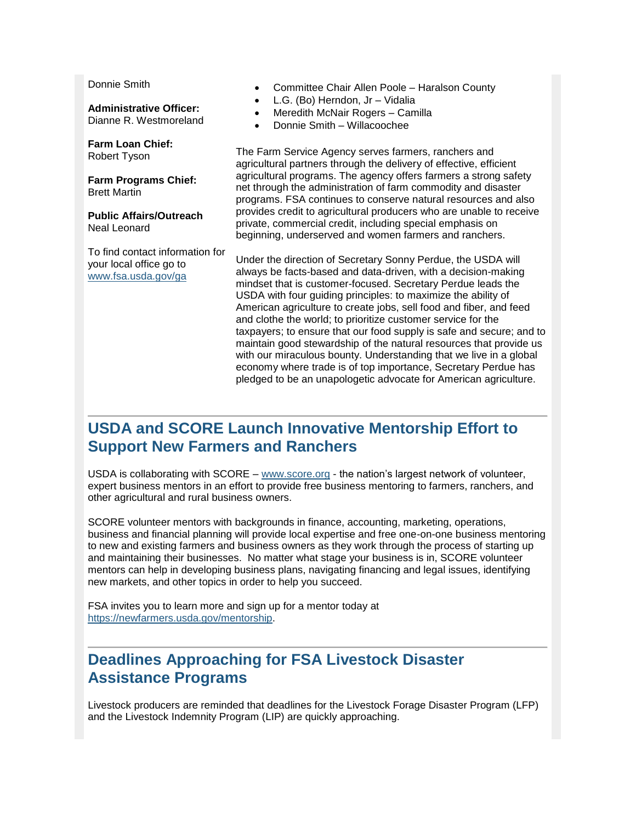Donnie Smith

**Administrative Officer:** Dianne R. Westmoreland

**Farm Loan Chief:** Robert Tyson

**Farm Programs Chief:** Brett Martin

**Public Affairs/Outreach** Neal Leonard

To find contact information for your local office go to [www.fsa.usda.gov/ga](http://www.fsa.usda.gov/ga)

- Committee Chair Allen Poole Haralson County
- L.G. (Bo) Herndon, Jr Vidalia
- Meredith McNair Rogers Camilla
- Donnie Smith Willacoochee

The Farm Service Agency serves farmers, ranchers and agricultural partners through the delivery of effective, efficient agricultural programs. The agency offers farmers a strong safety net through the administration of farm commodity and disaster programs. FSA continues to conserve natural resources and also provides credit to agricultural producers who are unable to receive private, commercial credit, including special emphasis on beginning, underserved and women farmers and ranchers.

Under the direction of Secretary Sonny Perdue, the USDA will always be facts-based and data-driven, with a decision-making mindset that is customer-focused. Secretary Perdue leads the USDA with four guiding principles: to maximize the ability of American agriculture to create jobs, sell food and fiber, and feed and clothe the world; to prioritize customer service for the taxpayers; to ensure that our food supply is safe and secure; and to maintain good stewardship of the natural resources that provide us with our miraculous bounty. Understanding that we live in a global economy where trade is of top importance, Secretary Perdue has pledged to be an unapologetic advocate for American agriculture.

## <span id="page-1-0"></span>**USDA and SCORE Launch Innovative Mentorship Effort to Support New Farmers and Ranchers**

USDA is collaborating with SCORE – [www.score.org](http://www.score.org/) - the nation's largest network of volunteer, expert business mentors in an effort to provide free business mentoring to farmers, ranchers, and other agricultural and rural business owners.

SCORE volunteer mentors with backgrounds in finance, accounting, marketing, operations, business and financial planning will provide local expertise and free one-on-one business mentoring to new and existing farmers and business owners as they work through the process of starting up and maintaining their businesses. No matter what stage your business is in, SCORE volunteer mentors can help in developing business plans, navigating financing and legal issues, identifying new markets, and other topics in order to help you succeed.

FSA invites you to learn more and sign up for a mentor today at [https://newfarmers.usda.gov/mentorship.](https://newfarmers.usda.gov/mentorship)

## <span id="page-1-1"></span>**Deadlines Approaching for FSA Livestock Disaster Assistance Programs**

Livestock producers are reminded that deadlines for the Livestock Forage Disaster Program (LFP) and the Livestock Indemnity Program (LIP) are quickly approaching.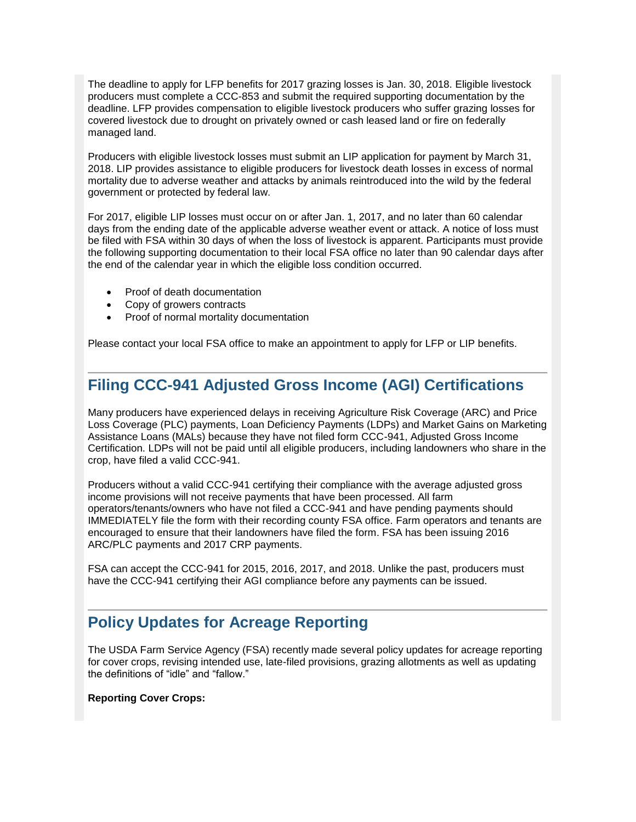The deadline to apply for LFP benefits for 2017 grazing losses is Jan. 30, 2018. Eligible livestock producers must complete a CCC-853 and submit the required supporting documentation by the deadline. LFP provides compensation to eligible livestock producers who suffer grazing losses for covered livestock due to drought on privately owned or cash leased land or fire on federally managed land.

Producers with eligible livestock losses must submit an LIP application for payment by March 31, 2018. LIP provides assistance to eligible producers for livestock death losses in excess of normal mortality due to adverse weather and attacks by animals reintroduced into the wild by the federal government or protected by federal law.

For 2017, eligible LIP losses must occur on or after Jan. 1, 2017, and no later than 60 calendar days from the ending date of the applicable adverse weather event or attack. A notice of loss must be filed with FSA within 30 days of when the loss of livestock is apparent. Participants must provide the following supporting documentation to their local FSA office no later than 90 calendar days after the end of the calendar year in which the eligible loss condition occurred.

- Proof of death documentation
- Copy of growers contracts
- Proof of normal mortality documentation

Please contact your local FSA office to make an appointment to apply for LFP or LIP benefits.

## <span id="page-2-0"></span>**Filing CCC-941 Adjusted Gross Income (AGI) Certifications**

Many producers have experienced delays in receiving Agriculture Risk Coverage (ARC) and Price Loss Coverage (PLC) payments, Loan Deficiency Payments (LDPs) and Market Gains on Marketing Assistance Loans (MALs) because they have not filed form CCC-941, Adjusted Gross Income Certification. LDPs will not be paid until all eligible producers, including landowners who share in the crop, have filed a valid CCC-941.

Producers without a valid CCC-941 certifying their compliance with the average adjusted gross income provisions will not receive payments that have been processed. All farm operators/tenants/owners who have not filed a CCC-941 and have pending payments should IMMEDIATELY file the form with their recording county FSA office. Farm operators and tenants are encouraged to ensure that their landowners have filed the form. FSA has been issuing 2016 ARC/PLC payments and 2017 CRP payments.

FSA can accept the CCC-941 for 2015, 2016, 2017, and 2018. Unlike the past, producers must have the CCC-941 certifying their AGI compliance before any payments can be issued.

## <span id="page-2-1"></span>**Policy Updates for Acreage Reporting**

The USDA Farm Service Agency (FSA) recently made several policy updates for acreage reporting for cover crops, revising intended use, late-filed provisions, grazing allotments as well as updating the definitions of "idle" and "fallow."

**Reporting Cover Crops:**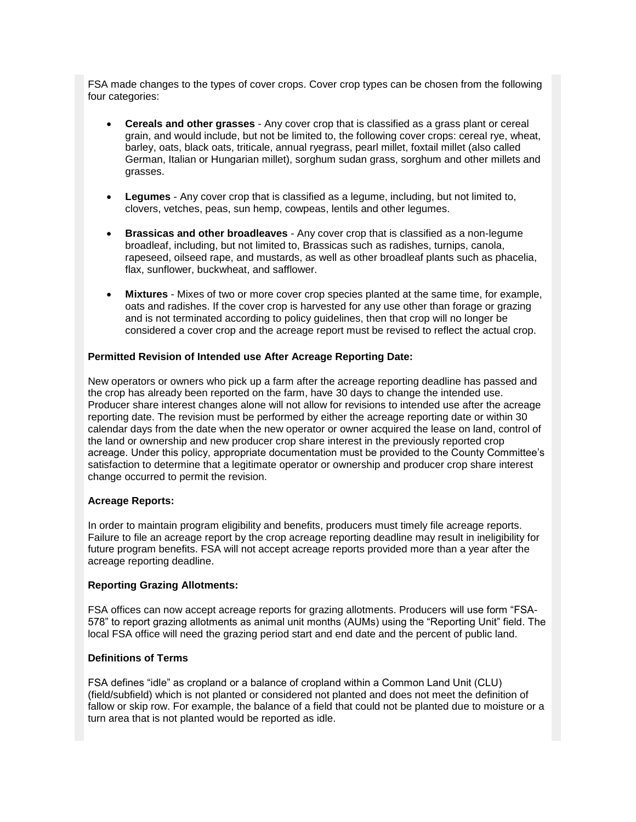FSA made changes to the types of cover crops. Cover crop types can be chosen from the following four categories:

- **Cereals and other grasses** Any cover crop that is classified as a grass plant or cereal grain, and would include, but not be limited to, the following cover crops: cereal rye, wheat, barley, oats, black oats, triticale, annual ryegrass, pearl millet, foxtail millet (also called German, Italian or Hungarian millet), sorghum sudan grass, sorghum and other millets and grasses.
- **Legumes** Any cover crop that is classified as a legume, including, but not limited to, clovers, vetches, peas, sun hemp, cowpeas, lentils and other legumes.
- **Brassicas and other broadleaves** Any cover crop that is classified as a non-legume broadleaf, including, but not limited to, Brassicas such as radishes, turnips, canola, rapeseed, oilseed rape, and mustards, as well as other broadleaf plants such as phacelia, flax, sunflower, buckwheat, and safflower.
- **Mixtures** Mixes of two or more cover crop species planted at the same time, for example, oats and radishes. If the cover crop is harvested for any use other than forage or grazing and is not terminated according to policy guidelines, then that crop will no longer be considered a cover crop and the acreage report must be revised to reflect the actual crop.

#### **Permitted Revision of Intended use After Acreage Reporting Date:**

New operators or owners who pick up a farm after the acreage reporting deadline has passed and the crop has already been reported on the farm, have 30 days to change the intended use. Producer share interest changes alone will not allow for revisions to intended use after the acreage reporting date. The revision must be performed by either the acreage reporting date or within 30 calendar days from the date when the new operator or owner acquired the lease on land, control of the land or ownership and new producer crop share interest in the previously reported crop acreage. Under this policy, appropriate documentation must be provided to the County Committee's satisfaction to determine that a legitimate operator or ownership and producer crop share interest change occurred to permit the revision.

#### **Acreage Reports:**

In order to maintain program eligibility and benefits, producers must timely file acreage reports. Failure to file an acreage report by the crop acreage reporting deadline may result in ineligibility for future program benefits. FSA will not accept acreage reports provided more than a year after the acreage reporting deadline.

#### **Reporting Grazing Allotments:**

FSA offices can now accept acreage reports for grazing allotments. Producers will use form "FSA-578" to report grazing allotments as animal unit months (AUMs) using the "Reporting Unit" field. The local FSA office will need the grazing period start and end date and the percent of public land.

#### **Definitions of Terms**

FSA defines "idle" as cropland or a balance of cropland within a Common Land Unit (CLU) (field/subfield) which is not planted or considered not planted and does not meet the definition of fallow or skip row. For example, the balance of a field that could not be planted due to moisture or a turn area that is not planted would be reported as idle.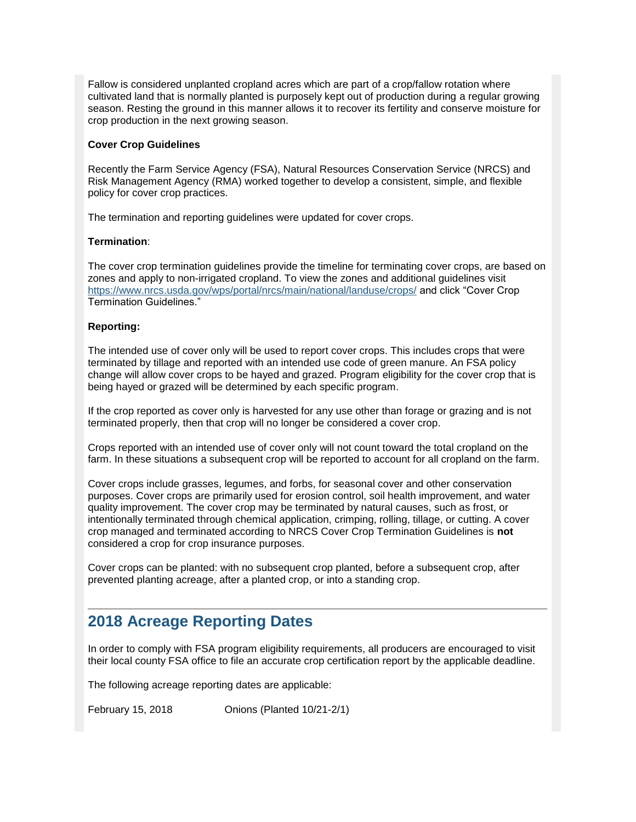Fallow is considered unplanted cropland acres which are part of a crop/fallow rotation where cultivated land that is normally planted is purposely kept out of production during a regular growing season. Resting the ground in this manner allows it to recover its fertility and conserve moisture for crop production in the next growing season.

#### **Cover Crop Guidelines**

Recently the Farm Service Agency (FSA), Natural Resources Conservation Service (NRCS) and Risk Management Agency (RMA) worked together to develop a consistent, simple, and flexible policy for cover crop practices.

The termination and reporting guidelines were updated for cover crops.

#### **Termination**:

The cover crop termination guidelines provide the timeline for terminating cover crops, are based on zones and apply to non-irrigated cropland. To view the zones and additional guidelines visit <https://www.nrcs.usda.gov/wps/portal/nrcs/main/national/landuse/crops/> and click "Cover Crop Termination Guidelines."

#### **Reporting:**

The intended use of cover only will be used to report cover crops. This includes crops that were terminated by tillage and reported with an intended use code of green manure. An FSA policy change will allow cover crops to be hayed and grazed. Program eligibility for the cover crop that is being hayed or grazed will be determined by each specific program.

If the crop reported as cover only is harvested for any use other than forage or grazing and is not terminated properly, then that crop will no longer be considered a cover crop.

Crops reported with an intended use of cover only will not count toward the total cropland on the farm. In these situations a subsequent crop will be reported to account for all cropland on the farm.

Cover crops include grasses, legumes, and forbs, for seasonal cover and other conservation purposes. Cover crops are primarily used for erosion control, soil health improvement, and water quality improvement. The cover crop may be terminated by natural causes, such as frost, or intentionally terminated through chemical application, crimping, rolling, tillage, or cutting. A cover crop managed and terminated according to NRCS Cover Crop Termination Guidelines is **not**  considered a crop for crop insurance purposes.

Cover crops can be planted: with no subsequent crop planted, before a subsequent crop, after prevented planting acreage, after a planted crop, or into a standing crop.

## <span id="page-4-0"></span>**2018 Acreage Reporting Dates**

In order to comply with FSA program eligibility requirements, all producers are encouraged to visit their local county FSA office to file an accurate crop certification report by the applicable deadline.

The following acreage reporting dates are applicable:

February 15, 2018 Onions (Planted 10/21-2/1)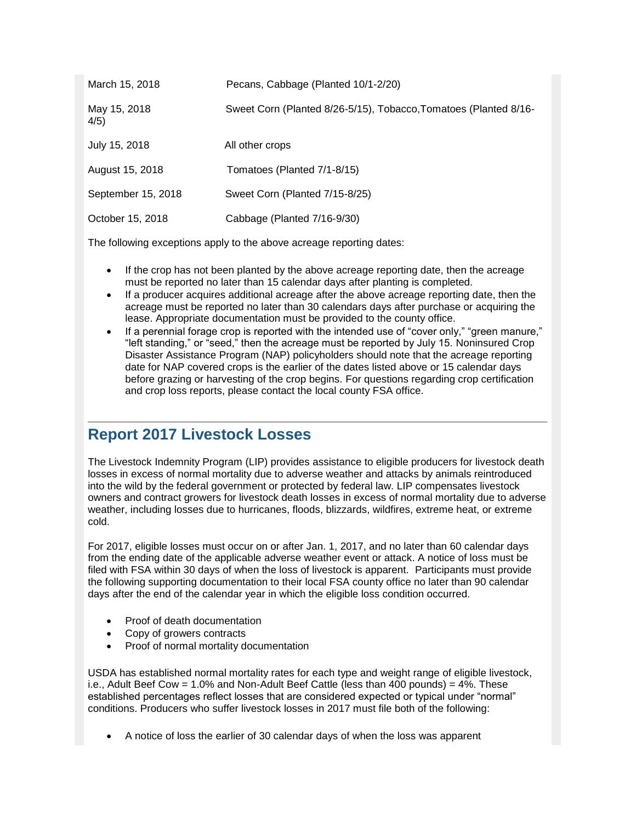| March 15, 2018       | Pecans, Cabbage (Planted 10/1-2/20)                              |
|----------------------|------------------------------------------------------------------|
| May 15, 2018<br>4/5) | Sweet Corn (Planted 8/26-5/15), Tobacco, Tomatoes (Planted 8/16- |
| July 15, 2018        | All other crops                                                  |
| August 15, 2018      | Tomatoes (Planted 7/1-8/15)                                      |
| September 15, 2018   | Sweet Corn (Planted 7/15-8/25)                                   |
| October 15, 2018     | Cabbage (Planted 7/16-9/30)                                      |

The following exceptions apply to the above acreage reporting dates:

- If the crop has not been planted by the above acreage reporting date, then the acreage must be reported no later than 15 calendar days after planting is completed.
- If a producer acquires additional acreage after the above acreage reporting date, then the acreage must be reported no later than 30 calendars days after purchase or acquiring the lease. Appropriate documentation must be provided to the county office.
- If a perennial forage crop is reported with the intended use of "cover only," "green manure," "left standing," or "seed," then the acreage must be reported by July 15. Noninsured Crop Disaster Assistance Program (NAP) policyholders should note that the acreage reporting date for NAP covered crops is the earlier of the dates listed above or 15 calendar days before grazing or harvesting of the crop begins. For questions regarding crop certification and crop loss reports, please contact the local county FSA office.

## <span id="page-5-0"></span>**Report 2017 Livestock Losses**

The Livestock Indemnity Program (LIP) provides assistance to eligible producers for livestock death losses in excess of normal mortality due to adverse weather and attacks by animals reintroduced into the wild by the federal government or protected by federal law. LIP compensates livestock owners and contract growers for livestock death losses in excess of normal mortality due to adverse weather, including losses due to hurricanes, floods, blizzards, wildfires, extreme heat, or extreme cold.

For 2017, eligible losses must occur on or after Jan. 1, 2017, and no later than 60 calendar days from the ending date of the applicable adverse weather event or attack. A notice of loss must be filed with FSA within 30 days of when the loss of livestock is apparent. Participants must provide the following supporting documentation to their local FSA county office no later than 90 calendar days after the end of the calendar year in which the eligible loss condition occurred.

- Proof of death documentation
- Copy of growers contracts
- Proof of normal mortality documentation

USDA has established normal mortality rates for each type and weight range of eligible livestock, i.e., Adult Beef Cow =  $1.0\%$  and Non-Adult Beef Cattle (less than 400 pounds) =  $4\%$ . These established percentages reflect losses that are considered expected or typical under "normal" conditions. Producers who suffer livestock losses in 2017 must file both of the following:

A notice of loss the earlier of 30 calendar days of when the loss was apparent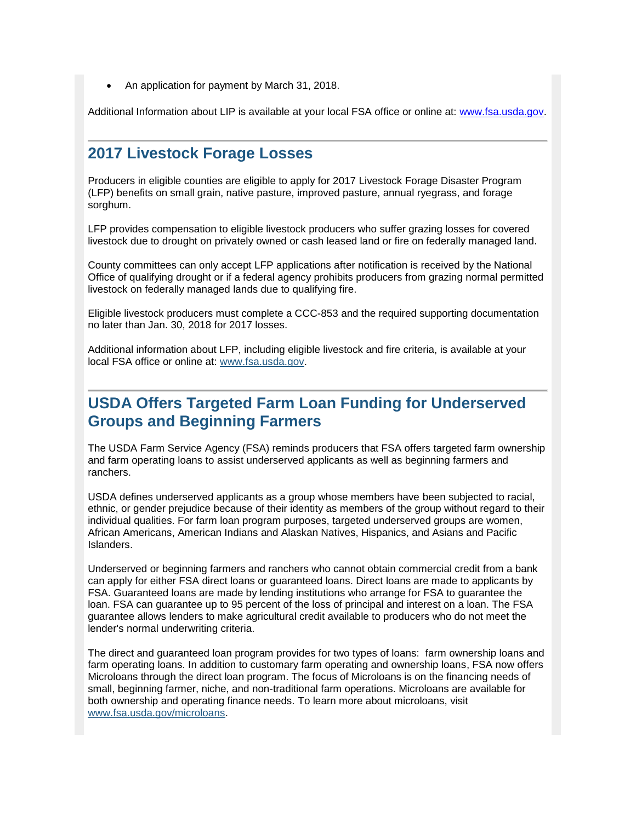An application for payment by March 31, 2018.

Additional Information about LIP is available at your local FSA office or online at: [www.fsa.usda.gov.](http://www.fsa.usda.gov/)

## <span id="page-6-0"></span>**2017 Livestock Forage Losses**

Producers in eligible counties are eligible to apply for 2017 Livestock Forage Disaster Program (LFP) benefits on small grain, native pasture, improved pasture, annual ryegrass, and forage sorghum.

LFP provides compensation to eligible livestock producers who suffer grazing losses for covered livestock due to drought on privately owned or cash leased land or fire on federally managed land.

County committees can only accept LFP applications after notification is received by the National Office of qualifying drought or if a federal agency prohibits producers from grazing normal permitted livestock on federally managed lands due to qualifying fire.

Eligible livestock producers must complete a CCC-853 and the required supporting documentation no later than Jan. 30, 2018 for 2017 losses.

Additional information about LFP, including eligible livestock and fire criteria, is available at your local FSA office or online at: [www.fsa.usda.gov.](http://www.fsa.usda.gov/)

## <span id="page-6-1"></span>**USDA Offers Targeted Farm Loan Funding for Underserved Groups and Beginning Farmers**

The USDA Farm Service Agency (FSA) reminds producers that FSA offers targeted farm ownership and farm operating loans to assist underserved applicants as well as beginning farmers and ranchers.

USDA defines underserved applicants as a group whose members have been subjected to racial, ethnic, or gender prejudice because of their identity as members of the group without regard to their individual qualities. For farm loan program purposes, targeted underserved groups are women, African Americans, American Indians and Alaskan Natives, Hispanics, and Asians and Pacific Islanders.

Underserved or beginning farmers and ranchers who cannot obtain commercial credit from a bank can apply for either FSA direct loans or guaranteed loans. Direct loans are made to applicants by FSA. Guaranteed loans are made by lending institutions who arrange for FSA to guarantee the loan. FSA can guarantee up to 95 percent of the loss of principal and interest on a loan. The FSA guarantee allows lenders to make agricultural credit available to producers who do not meet the lender's normal underwriting criteria.

The direct and guaranteed loan program provides for two types of loans: farm ownership loans and farm operating loans. In addition to customary farm operating and ownership loans, FSA now offers Microloans through the direct loan program. The focus of Microloans is on the financing needs of small, beginning farmer, niche, and non-traditional farm operations. Microloans are available for both ownership and operating finance needs. To learn more about microloans, visit [www.fsa.usda.gov/microloans.](http://www.fsa.usda.gov/microloans)